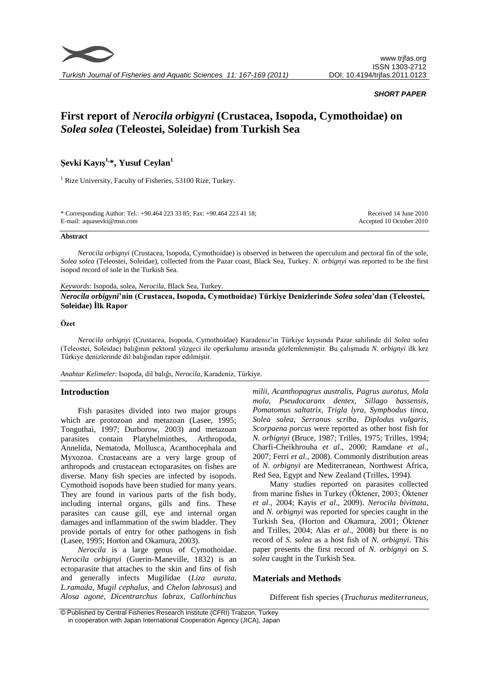

*Turkish Journal of Fisheries and Aquatic Sciences 11: 167-169 (2011)*

## *SHORT PAPER*

# **First report of** *Nerocila orbigyni* **(Crustacea, Isopoda, Cymothoidae) on**  *Solea solea* **(Teleostei, Soleidae) from Turkish Sea**

# **Şevki Kayış1,\*, Yusuf Ceylan<sup>1</sup>**

<sup>1</sup> Rize University, Faculty of Fisheries, 53100 Rize, Turkey.

\* Corresponding Author: Tel.: +90.464 223 33 85; Fax: +90.464 223 41 18; E-mail: aquasevki@msn.com

Received 14 June 2010 Accepted 10 October 2010

#### **Abstract**

*Nerocila orbignyi* (Crustacea, Isopoda, Cymothoidae) is observed in between the operculum and pectoral fin of the sole, *Solea solea* (Teleostei, Soleidae), collected from the Pazar coast, Black Sea, Turkey. *N. orbignyi* was reported to be the first isopod record of sole in the Turkish Sea.

#### *Keywords*: Isopoda, solea, *Nerocila*, Black Sea, Turkey.

*Nerocila orbigyni***'nin (Crustacea, Isopoda, Cymothoidae) Türkiye Denizlerinde** *Solea solea***'dan (Teleostei, Soleidae) İlk Rapor**

#### **Özet**

*Nerocila orbignyi* (Crustacea, Isopoda, Cymothoidae) Karadeniz'in Türkiye kıyısında Pazar sahilinde dil *Solea solea* (Teleostei, Soleidae) balığının pektoral yüzgeci ile operkulumu arasında gözlemlenmiştir. Bu çalışmada *N. orbignyi* ilk kez Türkiye denizlerinde dil balığından rapor edilmiştir.

*Anahtar Kelimeler*: Isopoda, dil balığı, *Nerocila*, Karadeniz, Türkiye.

#### **Introduction**

Fish parasites divided into two major groups which are protozoan and metazoan (Lasee, 1995; Tonguthai, 1997; Durborow, 2003) and metazoan parasites contain Platyhelminthes, Arthropoda, Annelida, Nematoda, Mollusca, Acanthocephala and Myxozoa. Crustaceans are a very large group of [arthropods](http://en.wikipedia.org/wiki/Arthropod) and crustacean ectoparasites on fishes are diverse. Many fish species are infected by isopods. Cymothoid isopods have been studied for many years. They are found in various parts of the fish body, including internal organs, gills and fins. These parasites can cause gill, eye and internal organ damages and inflammation of the swim bladder. They provide portals of entry for other pathogens in fish (Lasee, 1995; Horton and Okamura, 2003).

*Nerocila* is a large genus of Cymothoidae. *Nerocila orbignyi* (Guerin-Maneville, 1832) is an ectoparasite that attaches to the skin and fins of fish and generally infects Mugilidae (*Liza aurata*, *L.ramada*, *Mugil cephalus*, and *Chelon labrosus*) and *Alosa agone, Dicentrarchus labrax, Callorhinchus* 

*milii, Acanthopagrus australis, Pagrus auratus, Mola mola, Pseudocaranx dentex, Sillago bassensis, Pomatomus saltatrix, Trigla lyra*, *Symphodus tinca, Solea solea*, *Serranus scriba*, *Diplodus vulgaris, Scorpaena porcus* were reported as other host fish for *N. orbignyi* (Bruce, 1987; Trilles, 1975; Trilles, 1994; Charfi-Cheikhrouha *et al*., 2000; Ramdane *et al*., 2007; Ferri *et al*., 2008). Commonly distribution areas of *N. orbignyi* are Mediterranean, Northwest Africa, Red Sea, Egypt and New Zealand (Trilles, 1994).

Many studies reported on parasites collected from marine fishes in Turkey (Öktener, 2003; Öktener *et al*., 2004; Kayis *et al*., 2009). *Nerocila bivittata*, and *N. orbignyi* was reported for species caught in the Turkish Sea, (Horton and Okamura, 2001; Öktener and Trilles, 2004; Alas *et al*., 2008) but there is no record of *S. solea* as a host fish of *N. orbignyi*. This paper presents the first record of *N. orbignyi* on *S. solea* caught in the Turkish Sea.

### **Materials and Methods**

Different fish species (*Trachurus mediterraneus*,

<sup>©</sup> Published by Central Fisheries Research Institute (CFRI) Trabzon, Turkey in cooperation with Japan International Cooperation Agency (JICA), Japan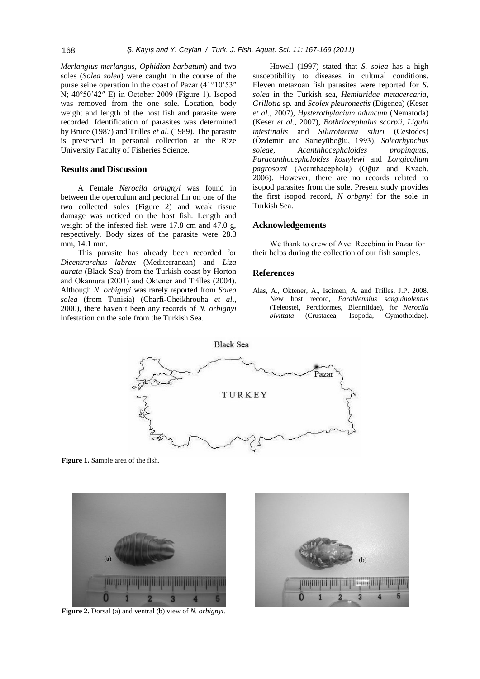*Merlangius merlangus*, *Ophidion barbatum*) and two soles (*Solea solea*) were caught in the course of the purse seine operation in the coast of Pazar (41°10'53″ N; 40°50'42″ E) in October 2009 (Figure 1). Isopod was removed from the one sole. Location, body weight and length of the host fish and parasite were recorded. Identification of parasites was determined by Bruce (1987) and Trilles *et al*. (1989). The parasite is preserved in personal collection at the Rize University Faculty of Fisheries Science.

#### **Results and Discussion**

A Female *Nerocila orbignyi* was found in between the operculum and pectoral fin on one of the two collected soles (Figure 2) and weak tissue damage was noticed on the host fish. Length and weight of the infested fish were 17.8 cm and 47.0 g, respectively. Body sizes of the parasite were 28.3 mm, 14.1 mm.

This parasite has already been recorded for *Dicentrarchus labrax* (Mediterranean) and *Liza aurata* (Black Sea) from the Turkish coast by Horton and Okamura (2001) and Öktener and Trilles (2004). Although *N. orbignyi* was rarely reported from *Solea solea* (from Tunisia) (Charfi-Cheikhrouha *et al*., 2000), there haven't been any records of *N. orbignyi*  infestation on the sole from the Turkish Sea.

Howell (1997) stated that *S. solea* has a high susceptibility to diseases in cultural conditions. Eleven metazoan fish parasites were reported for *S. solea* in the Turkish sea, *Hemiuridae metacercaria, Grillotia* sp*.* and *Scolex pleuronectis* (Digenea) (Keser *et al*., 2007), *Hysterothylacium aduncum* (Nematoda) (Keser *et al*., 2007), *Bothriocephalus scorpii*, *Ligula intestinalis* and *Silurotaenia siluri* (Cestodes) (Özdemir and Sarıeyüboğlu, 1993), *Solearhynchus soleae*, *Acanthhocephaloides propinquus*, *Paracanthocephaloides kostylewi* and *Longicollum pagrosomi* (Acanthacephola) (Oğuz and Kvach, 2006). However, there are no records related to isopod parasites from the sole. Present study provides the first isopod record, *N orbgnyi* for the sole in Turkish Sea.

# **Acknowledgements**

We thank to crew of Avcı Recebina in Pazar for their helps during the collection of our fish samples.

#### **References**

Alas, A., Oktener, A., Iscimen, A. and Trilles, J.P. 2008. New host record, *Parablennius sanguinolentus*  (Teleostei, Perciformes, Blenniidae), for *Nerocila bivittata* (Crustacea, Isopoda, Cymothoidae)*.* 



**Figure 1.** Sample area of the fish.



**Figure 2.** Dorsal (a) and ventral (b) view of *N. orbignyi*.